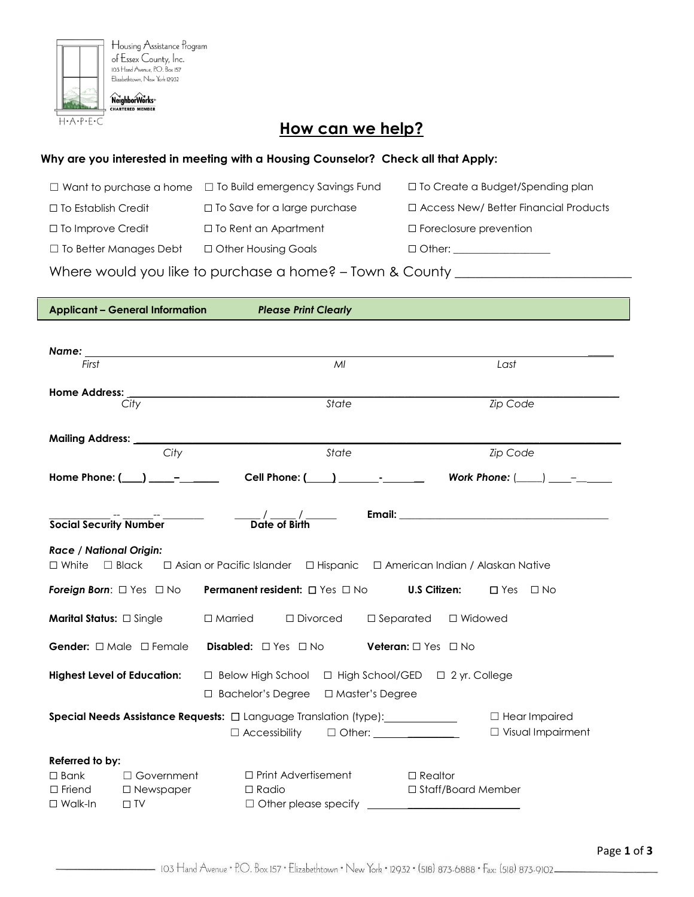

## **How can we help?**

## **Why are you interested in meeting with a Housing Counselor? Check all that Apply:**

| $\Box$ Want to purchase a home                           | □ To Build emergency Savings Fund   | □ To Create a Budget/Spending plan           |  |  |  |  |
|----------------------------------------------------------|-------------------------------------|----------------------------------------------|--|--|--|--|
| $\Box$ To Establish Credit                               | $\Box$ To Save for a large purchase | $\Box$ Access New/ Better Financial Products |  |  |  |  |
| □ To Improve Credit                                      | $\Box$ To Rent an Apartment         | $\Box$ Foreclosure prevention                |  |  |  |  |
| $\Box$ To Better Manages Debt                            | □ Other Housing Goals               |                                              |  |  |  |  |
| Where would you like to purchase a home? - Town & County |                                     |                                              |  |  |  |  |

|                                                                                                                                                | <b>Applicant - General Information</b> | <b>Please Print Clearly</b>                                                                                                                                                                                                            |                                                                              |  |  |  |  |
|------------------------------------------------------------------------------------------------------------------------------------------------|----------------------------------------|----------------------------------------------------------------------------------------------------------------------------------------------------------------------------------------------------------------------------------------|------------------------------------------------------------------------------|--|--|--|--|
|                                                                                                                                                |                                        |                                                                                                                                                                                                                                        |                                                                              |  |  |  |  |
|                                                                                                                                                |                                        | Name: when the contract of the contract of the contract of the contract of the contract of the contract of the contract of the contract of the contract of the contract of the contract of the contract of the contract of the         |                                                                              |  |  |  |  |
| First                                                                                                                                          |                                        | MI                                                                                                                                                                                                                                     | Last                                                                         |  |  |  |  |
|                                                                                                                                                |                                        |                                                                                                                                                                                                                                        |                                                                              |  |  |  |  |
|                                                                                                                                                | $\overline{City}$                      | Home Address: the contract of the contract of the contract of the contract of the contract of the contract of the contract of the contract of the contract of the contract of the contract of the contract of the contract of<br>State | <b>Zip Code</b>                                                              |  |  |  |  |
|                                                                                                                                                |                                        |                                                                                                                                                                                                                                        |                                                                              |  |  |  |  |
|                                                                                                                                                |                                        |                                                                                                                                                                                                                                        |                                                                              |  |  |  |  |
|                                                                                                                                                | City                                   | State                                                                                                                                                                                                                                  | <b>Zip Code</b>                                                              |  |  |  |  |
|                                                                                                                                                | Home Phone: $(\_\_) \_\_$ -            |                                                                                                                                                                                                                                        | Cell Phone: $(\_\_\_\_\$ _ _ _ _ _ _ Work Phone: $(\_\_\_\_\_\_\_$           |  |  |  |  |
|                                                                                                                                                |                                        |                                                                                                                                                                                                                                        |                                                                              |  |  |  |  |
|                                                                                                                                                |                                        |                                                                                                                                                                                                                                        |                                                                              |  |  |  |  |
| <b>Social Security Number</b>                                                                                                                  |                                        | $\frac{\gamma}{\text{Date of Birth}}$                                                                                                                                                                                                  |                                                                              |  |  |  |  |
| <b>Race / National Origin:</b><br>$\Box$ Black<br>□ Asian or Pacific Islander □ Hispanic □ American Indian / Alaskan Native<br>$\square$ White |                                        |                                                                                                                                                                                                                                        |                                                                              |  |  |  |  |
| <b>Permanent resident:</b> $\Box$ Yes $\Box$ No<br><b>U.S Citizen:</b><br><b>Foreign Born:</b> $\Box$ Yes $\Box$ No<br>$\Box$ Yes $\Box$ No    |                                        |                                                                                                                                                                                                                                        |                                                                              |  |  |  |  |
| Marital Status: $\Box$ Single<br>$\square$ Separated<br>$\Box$ Married<br>$\Box$ Divorced<br>□ Widowed                                         |                                        |                                                                                                                                                                                                                                        |                                                                              |  |  |  |  |
| <b>Gender:</b> $\Box$ Male $\Box$ Female<br><b>Disabled:</b> $\Box$ Yes $\Box$ No<br><b>Veteran:</b> $\Box$ Yes $\Box$ No                      |                                        |                                                                                                                                                                                                                                        |                                                                              |  |  |  |  |
| <b>Highest Level of Education:</b><br>□ Below High School □ High School/GED □ 2 yr. College                                                    |                                        |                                                                                                                                                                                                                                        |                                                                              |  |  |  |  |
|                                                                                                                                                |                                        | □ Bachelor's Degree<br>□ Master's Degree                                                                                                                                                                                               |                                                                              |  |  |  |  |
| Special Needs Assistance Requests: $\Box$ Language Translation (type): ___________<br>$\Box$ Hear Impaired                                     |                                        |                                                                                                                                                                                                                                        |                                                                              |  |  |  |  |
|                                                                                                                                                |                                        | $\Box$ Accessibility                                                                                                                                                                                                                   | $\Box$ Visual Impairment<br>$\Box$ Other: $\_\_\_\_\_\_\_\_\_\_\_\_\_\_\_\_$ |  |  |  |  |
|                                                                                                                                                |                                        |                                                                                                                                                                                                                                        |                                                                              |  |  |  |  |
| Referred to by:                                                                                                                                |                                        |                                                                                                                                                                                                                                        |                                                                              |  |  |  |  |
| $\Box$ Bank                                                                                                                                    | $\Box$ Government                      | $\Box$ Print Advertisement                                                                                                                                                                                                             | $\Box$ Realtor                                                               |  |  |  |  |
| $\Box$ Friend                                                                                                                                  | $\square$ Newspaper                    | $\Box$ Radio                                                                                                                                                                                                                           | □ Staff/Board Member                                                         |  |  |  |  |
| $\Box$ Walk-In                                                                                                                                 | $\Box$ TV                              |                                                                                                                                                                                                                                        |                                                                              |  |  |  |  |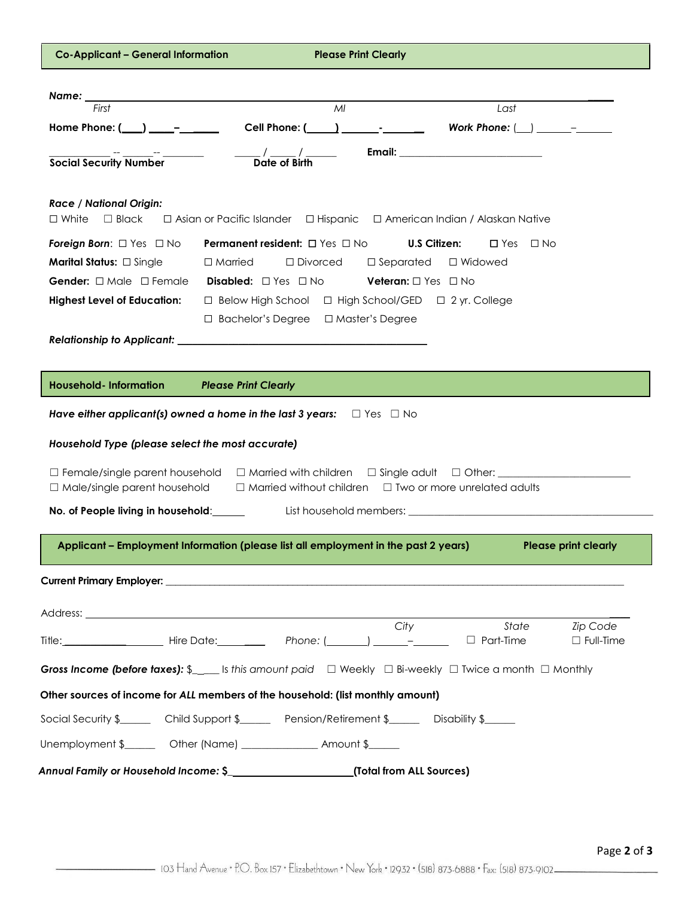| <b>Co-Applicant - General Information</b><br><b>Please Print Clearly</b>                                                                                   |  |  |  |  |  |  |  |
|------------------------------------------------------------------------------------------------------------------------------------------------------------|--|--|--|--|--|--|--|
|                                                                                                                                                            |  |  |  |  |  |  |  |
| MI<br>Last<br>First                                                                                                                                        |  |  |  |  |  |  |  |
| Home Phone: $(\_\_) \_\_$ -                                                                                                                                |  |  |  |  |  |  |  |
| <b>Email: ______________________________</b>                                                                                                               |  |  |  |  |  |  |  |
| $\frac{1}{\sqrt{2}}$ Date of Birth<br><b>Social Security Number</b>                                                                                        |  |  |  |  |  |  |  |
| <b>Race / National Origin:</b><br>$\Box$ Black<br>$\Box$ Asian or Pacific Islander $\Box$ Hispanic $\Box$ American Indian / Alaskan Native<br>$\Box$ White |  |  |  |  |  |  |  |
| <b>Foreign Born:</b> $\Box$ Yes $\Box$ No<br><b>Permanent resident:</b> $\Box$ Yes $\Box$ No<br><b>U.S Citizen:</b><br>$\Box$ Yes $\Box$ No                |  |  |  |  |  |  |  |
| <b>Marital Status:</b> $\Box$ Single<br>$\Box$ Married $\Box$ Divorced<br>$\square$ Separated<br>□ Widowed                                                 |  |  |  |  |  |  |  |
| <b>Gender:</b> $\Box$ Male $\Box$ Female<br><b>Disabled:</b> $\Box$ Yes $\Box$ No<br><b>Veteran:</b> □ Yes □ No                                            |  |  |  |  |  |  |  |
| □ Below High School □ High School/GED □ 2 yr. College<br><b>Highest Level of Education:</b>                                                                |  |  |  |  |  |  |  |
| □ Bachelor's Degree □ Master's Degree                                                                                                                      |  |  |  |  |  |  |  |
|                                                                                                                                                            |  |  |  |  |  |  |  |
|                                                                                                                                                            |  |  |  |  |  |  |  |
| <b>Household-Information</b><br><b>Please Print Clearly</b>                                                                                                |  |  |  |  |  |  |  |
| Have either applicant(s) owned a home in the last 3 years: $\square$ Yes $\square$ No                                                                      |  |  |  |  |  |  |  |
|                                                                                                                                                            |  |  |  |  |  |  |  |
| Household Type (please select the most accurate)                                                                                                           |  |  |  |  |  |  |  |
|                                                                                                                                                            |  |  |  |  |  |  |  |
| $\Box$ Male/single parent household<br>$\Box$ Married without children $\Box$ Two or more unrelated adults                                                 |  |  |  |  |  |  |  |
| No. of People living in household:                                                                                                                         |  |  |  |  |  |  |  |
| Applicant - Employment Information (please list all employment in the past 2 years)<br><b>Please print clearly</b>                                         |  |  |  |  |  |  |  |
|                                                                                                                                                            |  |  |  |  |  |  |  |
| Current Primary Employer: University of American American Company of American American Company of American Comp                                            |  |  |  |  |  |  |  |
|                                                                                                                                                            |  |  |  |  |  |  |  |
| City<br>State<br><b>Zip Code</b>                                                                                                                           |  |  |  |  |  |  |  |
| $\Box$ Part-Time<br>$\Box$ Full-Time                                                                                                                       |  |  |  |  |  |  |  |
| Gross Income (before taxes): $\mathcal{L}_{\text{max}}$ is this amount paid $\Box$ Weekly $\Box$ Bi-weekly $\Box$ Twice a month $\Box$ Monthly             |  |  |  |  |  |  |  |
| Other sources of income for ALL members of the household: (list monthly amount)                                                                            |  |  |  |  |  |  |  |
| Social Security \$__________ Child Support \$__________ Pension/Retirement \$__________ Disability \$______                                                |  |  |  |  |  |  |  |
| Unemployment \$________ Other (Name) _______________ Amount \$______                                                                                       |  |  |  |  |  |  |  |
| Annual Family or Household Income: \$_______________________(Total from ALL Sources)                                                                       |  |  |  |  |  |  |  |